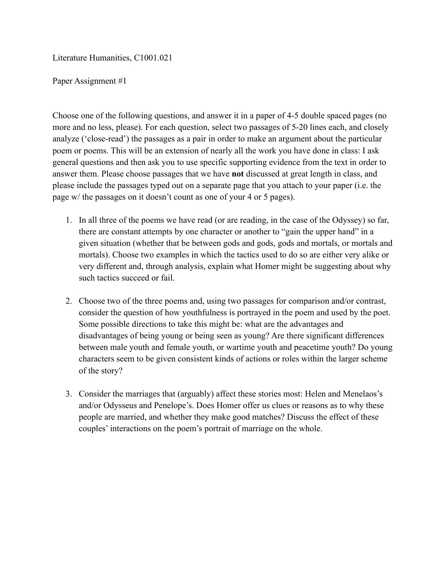Literature Humanities, C1001.021

## Paper Assignment #1

Choose one of the following questions, and answer it in a paper of 4-5 double spaced pages (no more and no less, please). For each question, select two passages of 5-20 lines each, and closely analyze ('close-read') the passages as a pair in order to make an argument about the particular poem or poems. This will be an extension of nearly all the work you have done in class: I ask general questions and then ask you to use specific supporting evidence from the text in order to answer them. Please choose passages that we have **not** discussed at great length in class, and please include the passages typed out on a separate page that you attach to your paper (i.e. the page w/ the passages on it doesn't count as one of your 4 or 5 pages).

- 1. In all three of the poems we have read (or are reading, in the case of the Odyssey) so far, there are constant attempts by one character or another to "gain the upper hand" in a given situation (whether that be between gods and gods, gods and mortals, or mortals and mortals). Choose two examples in which the tactics used to do so are either very alike or very different and, through analysis, explain what Homer might be suggesting about why such tactics succeed or fail.
- 2. Choose two of the three poems and, using two passages for comparison and/or contrast, consider the question of how youthfulness is portrayed in the poem and used by the poet. Some possible directions to take this might be: what are the advantages and disadvantages of being young or being seen as young? Are there significant differences between male youth and female youth, or wartime youth and peacetime youth? Do young characters seem to be given consistent kinds of actions or roles within the larger scheme of the story?
- 3. Consider the marriages that (arguably) affect these stories most: Helen and Menelaos's and/or Odysseus and Penelope's. Does Homer offer us clues or reasons as to why these people are married, and whether they make good matches? Discuss the effect of these couples' interactions on the poem's portrait of marriage on the whole.